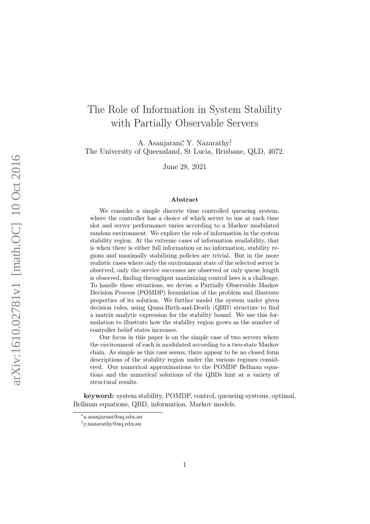# The Role of Information in System Stability with Partially Observable Servers

A. Asanjarani<sup>\*</sup>, Y. Nazarathy<sup>†</sup> The University of Queensland, St Lucia, Brisbane, QLD, 4072.

June 28, 2021

#### Abstract

We consider a simple discrete time controlled queueing system, where the controller has a choice of which server to use at each time slot and server performance varies according to a Markov modulated random environment. We explore the role of information in the system stability region. At the extreme cases of information availability, that is when there is either full information or no information, stability regions and maximally stabilizing policies are trivial. But in the more realistic cases where only the environment state of the selected server is observed, only the service successes are observed or only queue length is observed, finding throughput maximizing control laws is a challenge. To handle these situations, we devise a Partially Observable Markov Decision Process (POMDP) formulation of the problem and illustrate properties of its solution. We further model the system under given decision rules, using Quasi-Birth-and-Death (QBD) structure to find a matrix analytic expression for the stability bound. We use this formulation to illustrate how the stability region grows as the number of controller belief states increases.

Our focus in this paper is on the simple case of two servers where the environment of each is modulated according to a two-state Markov chain. As simple as this case seems, there appear to be no closed form descriptions of the stability region under the various regimes considered. Our numerical approximations to the POMDP Bellman equations and the numerical solutions of the QBDs hint at a variety of structural results.

keyword: system stability, POMDP, control, queueing systems, optimal, Bellman equations, QBD, information, Markov models.

<sup>∗</sup> a.asanjarani@uq.edu.au

<sup>†</sup> y.nazarathy@uq.edu.au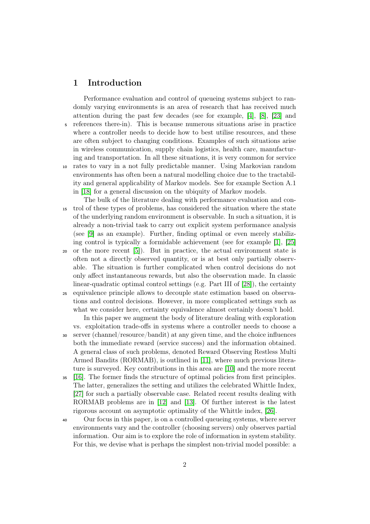# 1 Introduction

Performance evaluation and control of queueing systems subject to randomly varying environments is an area of research that has received much attention during the past few decades (see for example, [\[4\]](#page-20-0), [\[8\]](#page-20-1), [\[23\]](#page-21-0) and <sup>5</sup> references there-in). This is because numerous situations arise in practice where a controller needs to decide how to best utilise resources, and these are often subject to changing conditions. Examples of such situations arise in wireless communication, supply chain logistics, health care, manufacturing and transportation. In all these situations, it is very common for service <sup>10</sup> rates to vary in a not fully predictable manner. Using Markovian random environments has often been a natural modelling choice due to the tractability and general applicability of Markov models. See for example Section A.1 in [\[18\]](#page-21-1) for a general discussion on the ubiquity of Markov models.

The bulk of the literature dealing with performance evaluation and con-<sup>15</sup> trol of these types of problems, has considered the situation where the state of the underlying random environment is observable. In such a situation, it is already a non-trivial task to carry out explicit system performance analysis (see [\[9\]](#page-20-2) as an example). Further, finding optimal or even merely stabilizing control is typically a formidable achievement (see for example [\[1\]](#page-20-3), [\[25\]](#page-21-2)

<sup>20</sup> or the more recent [\[5\]](#page-20-4)). But in practice, the actual environment state is often not a directly observed quantity, or is at best only partially observable. The situation is further complicated when control decisions do not only affect instantaneous rewards, but also the observation made. In classic linear-quadratic optimal control settings (e.g. Part III of [\[28\]](#page-22-0)), the certainty <sup>25</sup> equivalence principle allows to decouple state estimation based on observa-

tions and control decisions. However, in more complicated settings such as what we consider here, certainty equivalence almost certainly doesn't hold.

In this paper we augment the body of literature dealing with exploration vs. exploitation trade-offs in systems where a controller needs to choose a <sup>30</sup> server (channel/resource/bandit) at any given time, and the choice influences both the immediate reward (service success) and the information obtained. A general class of such problems, denoted Reward Observing Restless Multi Armed Bandits (RORMAB), is outlined in [\[11\]](#page-20-5), where much previous literature is surveyed. Key contributions in this area are [\[10\]](#page-20-6) and the more recent

<sup>35</sup> [\[16\]](#page-21-3). The former finds the structure of optimal policies from first principles. The latter, generalizes the setting and utilizes the celebrated Whittle Index, [\[27\]](#page-21-4) for such a partially observable case. Related recent results dealing with RORMAB problems are in [\[12\]](#page-20-7) and [\[13\]](#page-20-8). Of further interest is the latest rigorous account on asymptotic optimality of the Whittle index, [\[26\]](#page-21-5).

<sup>40</sup> Our focus in this paper, is on a controlled queueing systems, where server environments vary and the controller (choosing servers) only observes partial information. Our aim is to explore the role of information in system stability. For this, we devise what is perhaps the simplest non-trivial model possible: a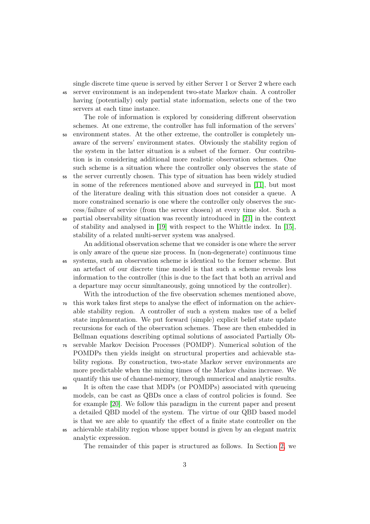single discrete time queue is served by either Server 1 or Server 2 where each <sup>45</sup> server environment is an independent two-state Markov chain. A controller having (potentially) only partial state information, selects one of the two servers at each time instance.

The role of information is explored by considering different observation schemes. At one extreme, the controller has full information of the servers' <sup>50</sup> environment states. At the other extreme, the controller is completely unaware of the servers' environment states. Obviously the stability region of the system in the latter situation is a subset of the former. Our contribution is in considering additional more realistic observation schemes. One such scheme is a situation where the controller only observes the state of <sup>55</sup> the server currently chosen. This type of situation has been widely studied in some of the references mentioned above and surveyed in [\[11\]](#page-20-5), but most of the literature dealing with this situation does not consider a queue. A more constrained scenario is one where the controller only observes the success/failure of service (from the server chosen) at every time slot. Such a <sup>60</sup> partial observability situation was recently introduced in [\[21\]](#page-21-6) in the context of stability and analysed in [\[19\]](#page-21-7) with respect to the Whittle index. In [\[15\]](#page-21-8), stability of a related multi-server system was analysed.

An additional observation scheme that we consider is one where the server is only aware of the queue size process. In (non-degenerate) continuous time <sup>65</sup> systems, such an observation scheme is identical to the former scheme. But an artefact of our discrete time model is that such a scheme reveals less information to the controller (this is due to the fact that both an arrival and a departure may occur simultaneously, going unnoticed by the controller).

With the introduction of the five observation schemes mentioned above, <sup>70</sup> this work takes first steps to analyse the effect of information on the achievable stability region. A controller of such a system makes use of a belief state implementation. We put forward (simple) explicit belief state update recursions for each of the observation schemes. These are then embedded in Bellman equations describing optimal solutions of associated Partially Ob-<sup>75</sup> servable Markov Decision Processes (POMDP). Numerical solution of the

POMDPs then yields insight on structural properties and achievable stability regions. By construction, two-state Markov server environments are more predictable when the mixing times of the Markov chains increase. We quantify this use of channel-memory, through numerical and analytic results.

<sup>80</sup> It is often the case that MDPs (or POMDPs) associated with queueing models, can be cast as QBDs once a class of control policies is found. See for example [\[20\]](#page-21-9). We follow this paradigm in the current paper and present a detailed QBD model of the system. The virtue of our QBD based model is that we are able to quantify the effect of a finite state controller on the <sup>85</sup> achievable stability region whose upper bound is given by an elegant matrix

analytic expression.

The remainder of this paper is structured as follows. In Section [2,](#page-3-0) we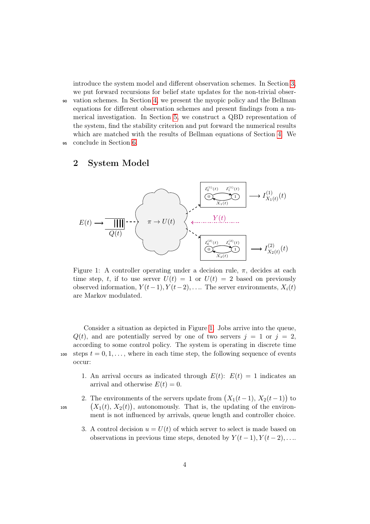introduce the system model and different observation schemes. In Section [3,](#page-7-0) we put forward recursions for belief state updates for the non-trivial obser-<sup>90</sup> vation schemes. In Section [4,](#page-10-0) we present the myopic policy and the Bellman equations for different observation schemes and present findings from a numerical investigation. In Section [5,](#page-14-0) we construct a QBD representation of the system, find the stability criterion and put forward the numerical results which are matched with the results of Bellman equations of Section [4.](#page-10-0) We <sup>95</sup> conclude in Section [6.](#page-19-0)

# <span id="page-3-0"></span>2 System Model

<span id="page-3-1"></span>

Figure 1: A controller operating under a decision rule,  $\pi$ , decides at each time step, t, if to use server  $U(t) = 1$  or  $U(t) = 2$  based on previously observed information,  $Y(t-1), Y(t-2), \ldots$  The server environments,  $X_i(t)$ are Markov modulated.

Consider a situation as depicted in Figure [1.](#page-3-1) Jobs arrive into the queue,  $Q(t)$ , and are potentially served by one of two servers  $j = 1$  or  $j = 2$ , according to some control policy. The system is operating in discrete time 100 steps  $t = 0, 1, \ldots$ , where in each time step, the following sequence of events occur:

1. An arrival occurs as indicated through  $E(t)$ :  $E(t) = 1$  indicates an arrival and otherwise  $E(t) = 0$ .

2. The environments of the servers update from  $(X_1(t-1), X_2(t-1))$  to  $(X_1(t), X_2(t))$ , autonomously. That is, the updating of the environment is not influenced by arrivals, queue length and controller choice.

3. A control decision  $u = U(t)$  of which server to select is made based on observations in previous time steps, denoted by  $Y(t-1), Y(t-2), \ldots$ 

4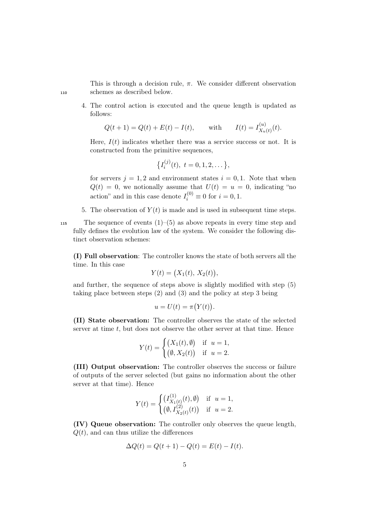This is through a decision rule,  $\pi$ . We consider different observation <sup>110</sup> schemes as described below.

4. The control action is executed and the queue length is updated as follows:

$$
Q(t + 1) = Q(t) + E(t) - I(t)
$$
, with  $I(t) = I_{X_u(t)}^{(u)}(t)$ .

Here,  $I(t)$  indicates whether there was a service success or not. It is constructed from the primitive sequences,

$$
\left\{I_i^{(j)}(t),\ t=0,1,2,\dots\right\},\
$$

for servers  $j = 1, 2$  and environment states  $i = 0, 1$ . Note that when  $Q(t) = 0$ , we notionally assume that  $U(t) = u = 0$ , indicating "no action" and in this case denote  $I_i^{(0)} \equiv 0$  for  $i = 0, 1$ .

5. The observation of  $Y(t)$  is made and is used in subsequent time steps.

115 The sequence of events  $(1)$ – $(5)$  as above repeats in every time step and fully defines the evolution law of the system. We consider the following distinct observation schemes:

(I) Full observation: The controller knows the state of both servers all the time. In this case

$$
Y(t) = (X_1(t), X_2(t)),
$$

and further, the sequence of steps above is slightly modified with step (5) taking place between steps (2) and (3) and the policy at step 3 being

$$
u = U(t) = \pi(Y(t)).
$$

(II) State observation: The controller observes the state of the selected server at time  $t$ , but does not observe the other server at that time. Hence

$$
Y(t) = \begin{cases} (X_1(t), \emptyset) & \text{if } u = 1, \\ (\emptyset, X_2(t)) & \text{if } u = 2. \end{cases}
$$

(III) Output observation: The controller observes the success or failure of outputs of the server selected (but gains no information about the other server at that time). Hence

$$
Y(t) = \begin{cases} \left(I_{X_1(t)}^{(1)}(t), \emptyset\right) & \text{if } u = 1, \\ \left(\emptyset, I_{X_2(t)}^{(2)}(t)\right) & \text{if } u = 2. \end{cases}
$$

(IV) Queue observation: The controller only observes the queue length,  $Q(t)$ , and can thus utilize the differences

$$
\Delta Q(t) = Q(t+1) - Q(t) = E(t) - I(t).
$$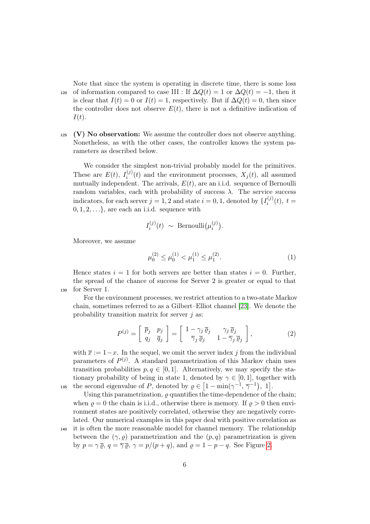Note that since the system is operating in discrete time, there is some loss 120 of information compared to case III : If  $\Delta Q(t) = 1$  or  $\Delta Q(t) = -1$ , then it is clear that  $I(t) = 0$  or  $I(t) = 1$ , respectively. But if  $\Delta Q(t) = 0$ , then since the controller does not observe  $E(t)$ , there is not a definitive indication of  $I(t).$ 

 $125$  (V) No observation: We assume the controller does not observe anything. Nonetheless, as with the other cases, the controller knows the system parameters as described below.

We consider the simplest non-trivial probably model for the primitives. These are  $E(t)$ ,  $I_i^{(j)}$  $i^{(j)}(t)$  and the environment processes,  $X_j(t)$ , all assumed mutually independent. The arrivals,  $E(t)$ , are an i.i.d. sequence of Bernoulli random variables, each with probability of success  $\lambda$ . The service success indicators, for each server  $j = 1, 2$  and state  $i = 0, 1$ , denoted by  $\{I_i^{(j)}\}$  $i^{(J)}(t), t =$  $0, 1, 2, \ldots\}$ , are each an i.i.d. sequence with

$$
I_i^{(j)}(t) \sim \text{Bernoulli}(\mu_i^{(j)}).
$$

Moreover, we assume

<span id="page-5-0"></span>
$$
\mu_0^{(2)} \le \mu_0^{(1)} < \mu_1^{(1)} \le \mu_1^{(2)}.\tag{1}
$$

Hence states  $i = 1$  for both servers are better than states  $i = 0$ . Further, the spread of the chance of success for Server 2 is greater or equal to that <sup>130</sup> for Server 1.

For the environment processes, we restrict attention to a two-state Markov chain, sometimes referred to as a Gilbert–Elliot channel [\[23\]](#page-21-0). We denote the probability transition matrix for server  $j$  as:

<span id="page-5-1"></span>
$$
P^{(j)} = \begin{bmatrix} \bar{p}_j & p_j \\ q_j & \bar{q}_j \end{bmatrix} = \begin{bmatrix} 1 - \gamma_j \bar{\varrho}_j & \gamma_j \bar{\varrho}_j \\ \bar{\gamma}_j \bar{\varrho}_j & 1 - \bar{\gamma}_j \bar{\varrho}_j \end{bmatrix},
$$
(2)

with  $\bar{x} := 1-x$ . In the sequel, we omit the server index j from the individual parameters of  $P^{(j)}$ . A standard parametrization of this Markov chain uses transition probabilities  $p, q \in [0, 1]$ . Alternatively, we may specify the stationary probability of being in state 1, denoted by  $\gamma \in [0, 1]$ , together with 135 the second eigenvalue of P, denoted by  $\rho \in [1 - \min(\gamma^{-1}, \overline{\gamma}^{-1}), 1].$ 

Using this parametrization,  $\rho$  quantifies the time-dependence of the chain; when  $\rho = 0$  the chain is i.i.d., otherwise there is memory. If  $\rho > 0$  then environment states are positively correlated, otherwise they are negatively correlated. Our numerical examples in this paper deal with positive correlation as <sup>140</sup> it is often the more reasonable model for channel memory. The relationship between the  $(\gamma, \varrho)$  parametrization and the  $(p, q)$  parametrization is given

by  $p = \gamma \overline{\varrho}$ ,  $q = \overline{\gamma} \overline{\varrho}$ ,  $\gamma = p/(p+q)$ , and  $\rho = 1 - p - q$ . See Figure [2.](#page-6-0)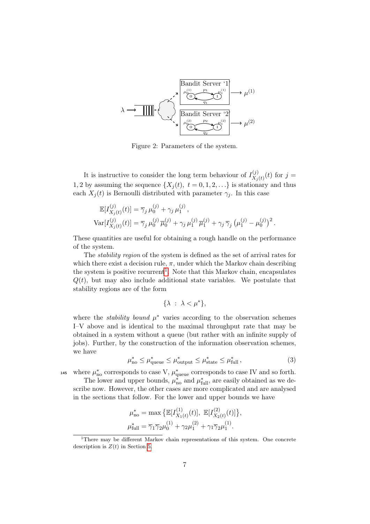<span id="page-6-0"></span>

Figure 2: Parameters of the system.

It is instructive to consider the long term behaviour of  $I_X^{(j)}$  $\chi_{j(t)}^{(j)}(t)$  for  $j=$ 1, 2 by assuming the sequence  $\{X_j(t), t = 0, 1, 2, \ldots\}$  is stationary and thus each  $X_i(t)$  is Bernoulli distributed with parameter  $\gamma_i$ . In this case

$$
\mathbb{E}[I_{X_j(t)}^{(j)}(t)] = \overline{\gamma}_j \,\mu_0^{(j)} + \gamma_j \,\mu_1^{(j)},
$$
  
\n
$$
\text{Var}[I_{X_j(t)}^{(j)}(t)] = \overline{\gamma}_j \,\mu_0^{(j)} \,\overline{\mu}_0^{(j)} + \gamma_j \,\mu_1^{(j)} \,\overline{\mu}_1^{(j)} + \gamma_j \,\overline{\gamma}_j \,\left(\mu_1^{(j)} - \mu_0^{(j)}\right)^2.
$$

These quantities are useful for obtaining a rough handle on the performance of the system.

The stability region of the system is defined as the set of arrival rates for which there exist a decision rule,  $\pi$ , under which the Markov chain describing the system is positive recurrent<sup>[1](#page-6-1)</sup>. Note that this Markov chain, encapsulates  $Q(t)$ , but may also include additional state variables. We postulate that stability regions are of the form

$$
\{\lambda \ : \ \lambda < \mu^*\},
$$

where the *stability bound*  $\mu^*$  varies according to the observation schemes I–V above and is identical to the maximal throughput rate that may be obtained in a system without a queue (but rather with an infinite supply of jobs). Further, by the construction of the information observation schemes, we have

<span id="page-6-2"></span>
$$
\mu_{\text{no}}^* \le \mu_{\text{queue}}^* \le \mu_{\text{output}}^* \le \mu_{\text{state}}^* \le \mu_{\text{full}}^*,\tag{3}
$$

<sup>145</sup> where  $\mu_{\text{no}}^*$  corresponds to case V,  $\mu_{\text{queue}}^*$  corresponds to case IV and so forth. The lower and upper bounds,  $\mu_{\text{no}}^*$  and  $\mu_{\text{full}}^*$ , are easily obtained as we describe now. However, the other cases are more complicated and are analysed in the sections that follow. For the lower and upper bounds we have

$$
\mu_{\text{no}}^{*} = \max \left\{ \mathbb{E}[I_{X_1(t)}^{(1)}(t)], \ \mathbb{E}[I_{X_2(t)}^{(2)}(t)] \right\},
$$
  

$$
\mu_{\text{full}}^{*} = \overline{\gamma}_{1} \overline{\gamma}_{2} \mu_{0}^{(1)} + \gamma_{2} \mu_{1}^{(2)} + \gamma_{1} \overline{\gamma}_{2} \mu_{1}^{(1)}.
$$

<span id="page-6-1"></span><sup>&</sup>lt;sup>1</sup>There may be different Markov chain representations of this system. One concrete description is  $Z(t)$  in Section [5.](#page-14-0)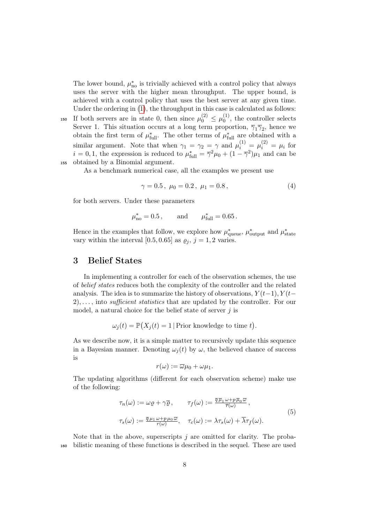The lower bound,  $\mu_{\text{no}}^*$  is trivially achieved with a control policy that always uses the server with the higher mean throughput. The upper bound, is achieved with a control policy that uses the best server at any given time. Under the ordering in [\(1\)](#page-5-0), the throughput in this case is calculated as follows:

If both servers are in state 0, then since  $\mu_0^{(2)} \leq \mu_0^{(1)}$ 150 If both servers are in state 0, then since  $\mu_0^{(2)} \n\t\leq \mu_0^{(1)}$ , the controller selects Server 1. This situation occurs at a long term proportion,  $\overline{\gamma}_1 \overline{\gamma}_2$ , hence we obtain the first term of  $\mu_{\text{full}}^*$ . The other terms of  $\mu_{\text{full}}^*$  are obtained with a similar argument. Note that when  $\gamma_1 = \gamma_2 = \gamma$  and  $\mu_i^{(1)} = \mu_i^{(2)} = \mu_i$  for  $i = 0, 1$ , the expression is reduced to  $\mu_{\text{full}}^* = \overline{\gamma}^2 \mu_0 + (1 - \overline{\gamma}^2)\mu_1$  and can be <sup>155</sup> obtained by a Binomial argument.

As a benchmark numerical case, all the examples we present use

<span id="page-7-2"></span>
$$
\gamma = 0.5 \,, \ \mu_0 = 0.2 \,, \ \mu_1 = 0.8 \,, \tag{4}
$$

for both servers. Under these parameters

$$
\mu_{\text{no}}^* = 0.5
$$
, and  $\mu_{\text{full}}^* = 0.65$ .

Hence in the examples that follow, we explore how  $\mu_{\text{queue}}^*$ ,  $\mu_{\text{output}}^*$  and  $\mu_{\text{state}}^*$ vary within the interval [0.5, 0.65] as  $\varrho_j$ ,  $j = 1, 2$  varies.

# <span id="page-7-0"></span>3 Belief States

In implementing a controller for each of the observation schemes, the use of belief states reduces both the complexity of the controller and the related analysis. The idea is to summarize the history of observations,  $Y(t-1)$ ,  $Y(t 2)$ , ..., into sufficient statistics that are updated by the controller. For our model, a natural choice for the belief state of server  $j$  is

 $\omega_j(t) = \mathbb{P}(X_j(t) = 1 | \text{Prior knowledge to time } t).$ 

As we describe now, it is a simple matter to recursively update this sequence in a Bayesian manner. Denoting  $\omega_i(t)$  by  $\omega$ , the believed chance of success is

$$
r(\omega):=\overline{\omega}\mu_0+\omega\mu_1.
$$

The updating algorithms (different for each observation scheme) make use of the following:

<span id="page-7-1"></span>
$$
\tau_n(\omega) := \omega \varrho + \gamma \overline{\varrho}, \qquad \tau_f(\omega) := \frac{\overline{q} \overline{\mu}_1 \omega + p \overline{\mu}_0 \overline{\omega}}{\overline{r}(\omega)} ,
$$
  

$$
\tau_s(\omega) := \frac{\overline{q} \mu_1 \omega + p \mu_0 \overline{\omega}}{r(\omega)}, \quad \tau_c(\omega) := \lambda \tau_s(\omega) + \overline{\lambda} \tau_f(\omega).
$$
 (5)

Note that in the above, superscripts  $j$  are omitted for clarity. The proba-<sup>160</sup> bilistic meaning of these functions is described in the sequel. These are used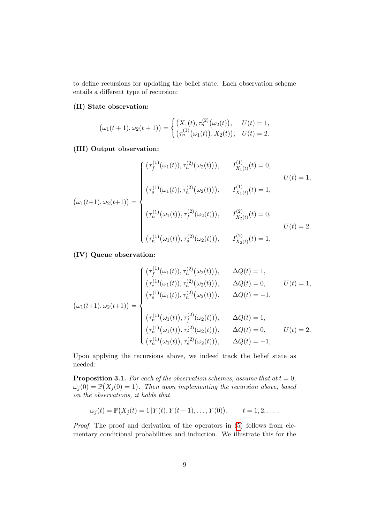to define recursions for updating the belief state. Each observation scheme entails a different type of recursion:

## (II) State observation:

$$
(\omega_1(t+1), \omega_2(t+1)) = \begin{cases} (X_1(t), \tau_n^{(2)}(\omega_2(t)), & U(t) = 1, \\ (\tau_n^{(1)}(\omega_1(t)), X_2(t)), & U(t) = 2. \end{cases}
$$

# (III) Output observation:

$$
\left(\omega_{1}(t+1), \omega_{2}(t+1)) = \begin{cases}\n(\tau_{f}^{(1)}(\omega_{1}(t)), \tau_{n}^{(2)}(\omega_{2}(t))), & I_{X_{1}(t)}^{(1)}(t) = 0, \\
(\tau_{s}^{(1)}(\omega_{1}(t)), \tau_{n}^{(2)}(\omega_{2}(t))), & I_{X_{1}(t)}^{(1)}(t) = 1, \\
(\tau_{n}^{(1)}(\omega_{1}(t)), \tau_{f}^{(2)}(\omega_{2}(t))), & I_{X_{2}(t)}^{(2)}(t) = 0, \\
(\tau_{n}^{(1)}(\omega_{1}(t)), \tau_{s}^{(2)}(\omega_{2}(t))), & I_{X_{2}(t)}^{(2)}(t) = 1,\n\end{cases}\n\quad U(t) = 2.
$$

## (IV) Queue observation:

$$
\left(\omega_{1}(t+1),\omega_{2}(t+1))=\begin{cases}\n(\tau_{f}^{(1)}(\omega_{1}(t)),\tau_{n}^{(2)}(\omega_{2}(t))), & \Delta Q(t)=1, \\
(\tau_{c}^{(1)}(\omega_{1}(t)),\tau_{n}^{(2)}(\omega_{2}(t))), & \Delta Q(t)=0, \\
(\tau_{s}^{(1)}(\omega_{1}(t)),\tau_{n}^{(2)}(\omega_{2}(t))), & \Delta Q(t)=-1, \\
(\tau_{n}^{(1)}(\omega_{1}(t)),\tau_{f}^{(2)}(\omega_{2}(t))), & \Delta Q(t)=1, \\
(\tau_{n}^{(1)}(\omega_{1}(t)),\tau_{c}^{(2)}(\omega_{2}(t))), & \Delta Q(t)=0, \\
(\tau_{n}^{(1)}(\omega_{1}(t)),\tau_{s}^{(2)}(\omega_{2}(t))), & \Delta Q(t)=-1,\n\end{cases} \quad U(t)=2.
$$

Upon applying the recursions above, we indeed track the belief state as needed:

**Proposition 3.1.** For each of the observation schemes, assume that at  $t = 0$ ,  $\omega_j(0) = \mathbb{P}(X_j(0) = 1)$ . Then upon implementing the recursion above, based on the observations, it holds that

$$
\omega_j(t) = \mathbb{P}(X_j(t) = 1 | Y(t), Y(t-1), \dots, Y(0)), \qquad t = 1, 2, \dots.
$$

Proof. The proof and derivation of the operators in [\(5\)](#page-7-1) follows from elementary conditional probabilities and induction. We illustrate this for the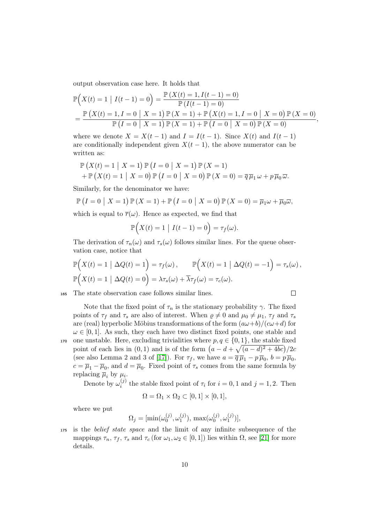output observation case here. It holds that

$$
\mathbb{P}\Big(X(t) = 1 \mid I(t-1) = 0\Big) = \frac{\mathbb{P}\left(X(t) = 1, I(t-1) = 0\right)}{\mathbb{P}\left(I(t-1) = 0\right)} \\
= \frac{\mathbb{P}\left(X(t) = 1, I = 0 \mid X = 1\right) \mathbb{P}\left(X = 1\right) + \mathbb{P}\left(X(t) = 1, I = 0 \mid X = 0\right) \mathbb{P}\left(X = 0\right)}{\mathbb{P}\left(I = 0 \mid X = 1\right) \mathbb{P}\left(X = 1\right) + \mathbb{P}\left(I = 0 \mid X = 0\right) \mathbb{P}\left(X = 0\right)},
$$

where we denote  $X = X(t-1)$  and  $I = I(t-1)$ . Since  $X(t)$  and  $I(t-1)$ are conditionally independent given  $X(t-1)$ , the above numerator can be written as:

$$
\mathbb{P}\left(X(t)=1 \mid X=1\right) \mathbb{P}\left(I=0 \mid X=1\right) \mathbb{P}\left(X=1\right) \n+ \mathbb{P}\left(X(t)=1 \mid X=0\right) \mathbb{P}\left(I=0 \mid X=0\right) \mathbb{P}\left(X=0\right) = \overline{q} \,\overline{\mu}_1 \,\omega + p \,\overline{\mu}_0 \,\overline{\omega}.
$$

Similarly, for the denominator we have:

$$
\mathbb{P}\left(I=0\mid X=1\right)\mathbb{P}\left(X=1\right)+\mathbb{P}\left(I=0\mid X=0\right)\mathbb{P}\left(X=0\right)=\overline{\mu}_1\omega+\overline{\mu}_0\overline{\omega},
$$

which is equal to  $\overline{r}(\omega)$ . Hence as expected, we find that

$$
\mathbb{P}\Big(X(t)=1\,\big|\,I(t-1)=0\Big)=\tau_f(\omega).
$$

The derivation of  $\tau_n(\omega)$  and  $\tau_s(\omega)$  follows similar lines. For the queue observation case, notice that

$$
\mathbb{P}\Big(X(t) = 1 \mid \Delta Q(t) = 1\Big) = \tau_f(\omega), \qquad \mathbb{P}\Big(X(t) = 1 \mid \Delta Q(t) = -1\Big) = \tau_s(\omega),
$$
  

$$
\mathbb{P}\Big(X(t) = 1 \mid \Delta Q(t) = 0\Big) = \lambda \tau_s(\omega) + \overline{\lambda} \tau_f(\omega) = \tau_c(\omega).
$$

 $\Box$ 

<sup>165</sup> The state observation case follows similar lines.

Note that the fixed point of 
$$
\tau_n
$$
 is the stationary probability  $\gamma$ . The fixed  
points of  $\tau_f$  and  $\tau_s$  are also of interest. When  $\rho \neq 0$  and  $\mu_0 \neq \mu_1$ ,  $\tau_f$  and  $\tau_s$   
are (real) hyperbolic Möbius transformations of the form  $(a\omega+b)/(c\omega+d)$  for  
 $\omega \in [0,1]$ . As such, they each have two distinct fixed points, one stable and  
one unstable. Here, excluding trivialities where  $p, q \in \{0,1\}$ , the stable fixed  
point of each lies in (0,1) and is of the form  $(a - d + \sqrt{(a - d)^2 + 4bc})/2c$   
(see also Lemma 2 and 3 of [17]). For  $\tau_f$ , we have  $a = \overline{q} \overline{\mu}_1 - p \overline{\mu}_0$ ,  $b = p \overline{\mu}_0$ ,  
 $c = \overline{\mu}_1 - \overline{\mu}_0$ , and  $d = \overline{\mu}_0$ . Fixed point of  $\tau_s$  comes from the same formula by  
replacing  $\overline{\mu}_i$  by  $\mu_i$ .

Denote by  $\omega_i^{(j)}$ <sup>(*j*)</sup> the stable fixed point of  $\tau_i$  for  $i = 0, 1$  and  $j = 1, 2$ . Then

$$
\Omega = \Omega_1 \times \Omega_2 \subset [0,1] \times [0,1],
$$

where we put

$$
\Omega_j = [\min(\omega_0^{(j)}, \omega_1^{(j)}), \max(\omega_0^{(j)}, \omega_1^{(j)})],
$$

<sup>175</sup> is the belief state space and the limit of any infinite subsequence of the mappings  $\tau_n$ ,  $\tau_f$ ,  $\tau_s$  and  $\tau_c$  (for  $\omega_1, \omega_2 \in [0, 1]$ ) lies within  $\Omega$ , see [\[21\]](#page-21-6) for more details.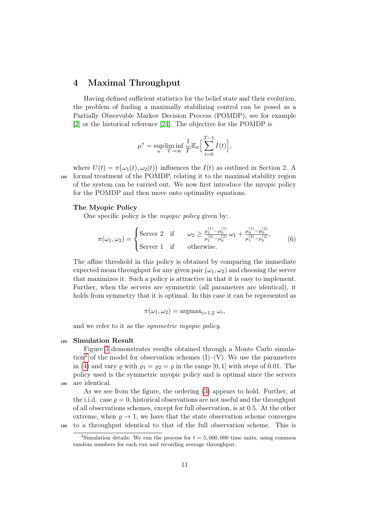# <span id="page-10-0"></span>4 Maximal Throughput

Having defined sufficient statistics for the belief state and their evolution, the problem of finding a maximally stabilizing control can be posed as a Partially Observable Markov Decision Process (POMDP), see for example [\[2\]](#page-20-9) or the historical reference [\[24\]](#page-21-11). The objective for the POMDP is

$$
\mu^* = \sup_{\pi} \liminf_{T \to \infty} \frac{1}{T} \mathbb{E}_{\pi} \Big[ \sum_{t=0}^{T-1} I(t) \Big],
$$

where  $U(t) = \pi(\omega_1(t), \omega_2(t))$  influences the  $I(t)$  as outlined in Section 2. A <sup>180</sup> formal treatment of the POMDP, relating it to the maximal stability region of the system can be carried out. We now first introduce the myopic policy for the POMDP and then move onto optimality equations.

#### The Myopic Policy

One specific policy is the *myopic policy* given by:

<span id="page-10-2"></span>
$$
\pi(\omega_1, \omega_2) = \begin{cases}\n\text{Server 2} & \text{if } \omega_2 \ge \frac{\mu_1^{(1)} - \mu_0^{(1)}}{\mu_1^{(2)} - \mu_0^{(2)}} \omega_1 + \frac{\mu_0^{(1)} - \mu_0^{(2)}}{\mu_1^{(2)} - \mu_0^{(2)}}, \\
\text{Server 1} & \text{if } \text{otherwise.}\n\end{cases} \tag{6}
$$

The affine threshold in this policy is obtained by comparing the immediate expected mean throughput for any given pair  $(\omega_1, \omega_2)$  and choosing the server that maximizes it. Such a policy is attractive in that it is easy to implement. Further, when the servers are symmetric (all parameters are identical), it holds from symmetry that it is optimal. In this case it can be represented as

$$
\pi(\omega_1, \omega_2) = \operatorname{argmax}_{i=1,2} \omega_i,
$$

and we refer to it as the symmetric myopic policy.

#### <sup>185</sup> Simulation Result

Figure [3](#page-11-0) demonstrates results obtained through a Monte Carlo simula-tion<sup>[2](#page-10-1)</sup> of the model for observation schemes  $(I)$ – $(V)$ . We use the parameters in [\(4\)](#page-7-2) and vary  $\rho$  with  $\rho_1 = \rho_2 = \rho$  in the range [0, 1] with steps of 0.01. The policy used is the symmetric myopic policy and is optimal since the servers <sup>190</sup> are identical.

As we see from the figure, the ordering [\(3\)](#page-6-2) appears to hold. Further, at the i.i.d. case  $\rho = 0$ , historical observations are not useful and the throughput of all observations schemes, except for full observation, is at 0.5. At the other extreme, when  $\rho \rightarrow 1$ , we have that the state observation scheme converges <sup>195</sup> to a throughput identical to that of the full observation scheme. This is

<span id="page-10-1"></span><sup>&</sup>lt;sup>2</sup>Simulation details: We run the process for  $t = 5,000,000$  time units, using common random numbers for each run and recording average throughput.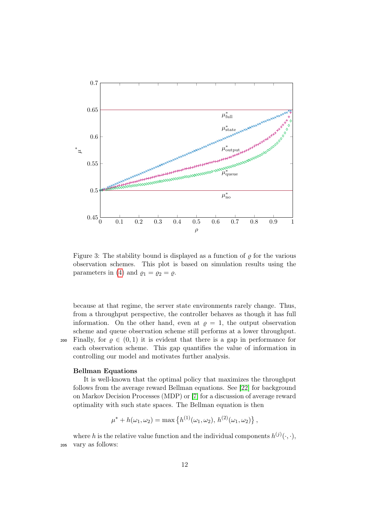<span id="page-11-0"></span>

Figure 3: The stability bound is displayed as a function of  $\rho$  for the various observation schemes. This plot is based on simulation results using the parameters in [\(4\)](#page-7-2) and  $\rho_1 = \rho_2 = \rho$ .

because at that regime, the server state environments rarely change. Thus, from a throughput perspective, the controller behaves as though it has full information. On the other hand, even at  $\rho = 1$ , the output observation scheme and queue observation scheme still performs at a lower throughput. 200 Finally, for  $\rho \in (0,1)$  it is evident that there is a gap in performance for each observation scheme. This gap quantifies the value of information in controlling our model and motivates further analysis.

#### Bellman Equations

It is well-known that the optimal policy that maximizes the throughput follows from the average reward Bellman equations. See [\[22\]](#page-21-12) for background on Markov Decision Processes (MDP) or [\[7\]](#page-20-10) for a discussion of average reward optimality with such state spaces. The Bellman equation is then

$$
\mu^* + h(\omega_1, \omega_2) = \max \left\{ h^{(1)}(\omega_1, \omega_2), h^{(2)}(\omega_1, \omega_2) \right\},
$$

where h is the relative value function and the individual components  $h^{(j)}(\cdot,\cdot),$ <sup>205</sup> vary as follows: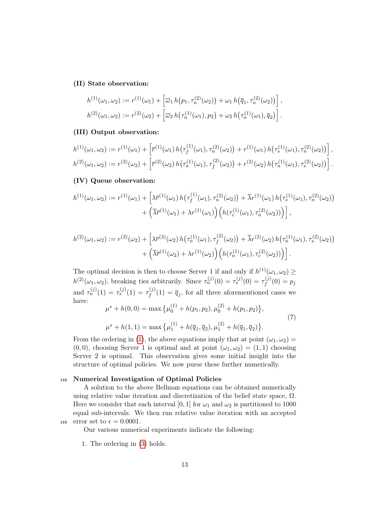#### (II) State observation:

$$
h^{(1)}(\omega_1, \omega_2) := r^{(1)}(\omega_1) + \left[\overline{\omega}_1 h(p_1, \tau_n^{(2)}(\omega_2)) + \omega_1 h(\overline{q}_1, \tau_n^{(2)}(\omega_2))\right],
$$
  

$$
h^{(2)}(\omega_1, \omega_2) := r^{(2)}(\omega_2) + \left[\overline{\omega}_2 h(\tau_n^{(1)}(\omega_1), p_2) + \omega_2 h(\tau_n^{(1)}(\omega_1), \overline{q}_2)\right].
$$

# (III) Output observation:

$$
h^{(1)}(\omega_1, \omega_2) := r^{(1)}(\omega_1) + \left[ \overline{r}^{(1)}(\omega_1) h(\tau_f^{(1)}(\omega_1), \tau_n^{(2)}(\omega_2)) + r^{(1)}(\omega_1) h(\tau_s^{(1)}(\omega_1), \tau_n^{(2)}(\omega_2)) \right],
$$
  

$$
h^{(2)}(\omega_1, \omega_2) := r^{(2)}(\omega_2) + \left[ \overline{r}^{(2)}(\omega_2) h(\tau_n^{(1)}(\omega_1), \tau_f^{(2)}(\omega_2)) + r^{(2)}(\omega_2) h(\tau_n^{(1)}(\omega_1), \tau_s^{(2)}(\omega_2)) \right].
$$

## (IV) Queue observation:

$$
h^{(1)}(\omega_1, \omega_2) := r^{(1)}(\omega_1) + \left[ \lambda \overline{r}^{(1)}(\omega_1) h(\tau_f^{(1)}(\omega_1), \tau_n^{(2)}(\omega_2)) + \overline{\lambda}r^{(1)}(\omega_1) h(\tau_s^{(1)}(\omega_1), \tau_n^{(2)}(\omega_2)) + \left( \overline{\lambda} \overline{r}^{(1)}(\omega_1) + \lambda r^{(1)}(\omega_1) \right) \left( h(\tau_c^{(1)}(\omega_1), \tau_n^{(2)}(\omega_2)) \right) \right],
$$

$$
h^{(2)}(\omega_1, \omega_2) := r^{(2)}(\omega_2) + \left[ \lambda \overline{r}^{(2)}(\omega_2) h(\tau_n^{(1)}(\omega_1), \tau_f^{(2)}(\omega_2)) + \overline{\lambda}r^{(2)}(\omega_2) h(\tau_n^{(1)}(\omega_1), \tau_s^{(2)}(\omega_2)) + \left( \overline{\lambda} \overline{r}^{(1)}(\omega_2) + \lambda r^{(1)}(\omega_2) \right) \left( h(\tau_n^{(1)}(\omega_1), \tau_c^{(2)}(\omega_2)) \right) \right].
$$

The optimal decision is then to choose Server 1 if and only if  $h^{(1)}(\omega_1, \omega_2) \ge$  $h^{(2)}(\omega_1, \omega_2)$ , breaking ties arbitrarily. Since  $\tau_n^{(j)}(0) = \tau_s^{(j)}(0) = \tau_f^{(j)}$  $f^{(J)}(0) = p_j$ and  $\tau_n^{(j)}(1) = \tau_s^{(j)}(1) = \tau_f^{(j)}$  $f_f^{(J)}(1) = \overline{q}_j$ , for all three aforementioned cases we have:  $(1)$  $(2)$ 

$$
\mu^* + h(0,0) = \max \{ \mu_0^{(1)} + h(p_1, p_2), \mu_0^{(2)} + h(p_1, p_2) \},
$$
  

$$
\mu^* + h(1,1) = \max \{ \mu_1^{(1)} + h(\overline{q}_1, \overline{q}_2), \mu_1^{(2)} + h(\overline{q}_1, \overline{q}_2) \}.
$$
 (7)

From the ordering in [\(1\)](#page-5-0), the above equations imply that at point  $(\omega_1, \omega_2)$  =  $(0, 0)$ , choosing Server 1 is optimal and at point  $(\omega_1, \omega_2) = (1, 1)$  choosing Server 2 is optimal. This observation gives some initial insight into the structure of optimal policies. We now purse these further numerically.

## <sup>210</sup> Numerical Investigation of Optimal Policies

A solution to the above Bellman equations can be obtained numerically using relative value iteration and discretization of the belief state space,  $\Omega$ . Here we consider that each interval [0, 1] for  $\omega_1$  and  $\omega_2$  is partitioned to 1000 equal sub-intervals. We then run relative value iteration with an accepted 215 error set to  $\epsilon = 0.0001$ .

Our various numerical experiments indicate the following:

1. The ordering in [\(3\)](#page-6-2) holds.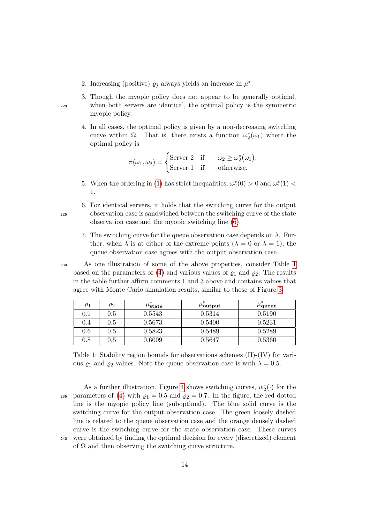- 2. Increasing (positive)  $\rho_j$  always yields an increase in  $\mu^*$ .
- 3. Though the myopic policy does not appear to be generally optimal, <sup>220</sup> when both servers are identical, the optimal policy is the symmetric myopic policy.
	- 4. In all cases, the optimal policy is given by a non-decreasing switching curve within  $\Omega$ . That is, there exists a function  $\omega_2^*(\omega_1)$  where the optimal policy is

$$
\pi(\omega_1, \omega_2) = \begin{cases}\n\text{Server 2 if } \omega_2 \ge \omega_2^*(\omega_1), \\
\text{Server 1 if otherwise.} \n\end{cases}
$$

- 5. When the ordering in [\(1\)](#page-5-0) has strict inequalities,  $\omega_2^*(0) > 0$  and  $\omega_2^*(1) <$ 1.
- 6. For identical servers, it holds that the switching curve for the output <sup>225</sup> observation case is sandwiched between the switching curve of the state observation case and the myopic switching line [\(6\)](#page-10-2).
	- 7. The switching curve for the queue observation case depends on  $\lambda$ . Further, when  $\lambda$  is at either of the extreme points  $(\lambda = 0 \text{ or } \lambda = 1)$ , the queue observation case agrees with the output observation case.

<sup>230</sup> As one illustration of some of the above properties, consider Table [1](#page-13-0) based on the parameters of [\(4\)](#page-7-2) and various values of  $\varrho_1$  and  $\varrho_2$ . The results in the table further affirm comments 1 and 3 above and contains values that agree with Monte Carlo simulation results, similar to those of Figure [3.](#page-11-0)

<span id="page-13-0"></span>

| $\varrho_1$ | 02  | $\mu^*_{\textbf{state}}$ | $\mu_{\textbf{output}}^*$ | $\mu$ queue |
|-------------|-----|--------------------------|---------------------------|-------------|
| $0.2\,$     | 0.5 | 0.5543                   | 0.5314                    | 0.5190      |
| 0.4         | 0.5 | 0.5673                   | 0.5400                    | 0.5231      |
| 0.6         | 0.5 | 0.5823                   | 0.5489                    | 0.5289      |
| $0.8\,$     | 0.5 | 0.6009                   | 0.5647                    | 0.5360      |

Table 1: Stability region bounds for observations schemes (II)-(IV) for various  $\varrho_1$  and  $\varrho_2$  values. Note the queue observation case is with  $\lambda = 0.5$ .

As a further illustration, Figure [4](#page-14-1) shows switching curves,  $w_2^*(\cdot)$  for the 235 parameters of [\(4\)](#page-7-2) with  $\rho_1 = 0.5$  and  $\rho_2 = 0.7$ . In the figure, the red dotted line is the myopic policy line (suboptimal). The blue solid curve is the switching curve for the output observation case. The green loosely dashed line is related to the queue observation case and the orange densely dashed curve is the switching curve for the state observation case. These curves <sup>240</sup> were obtained by finding the optimal decision for every (discretized) element of  $\Omega$  and then observing the switching curve structure.

14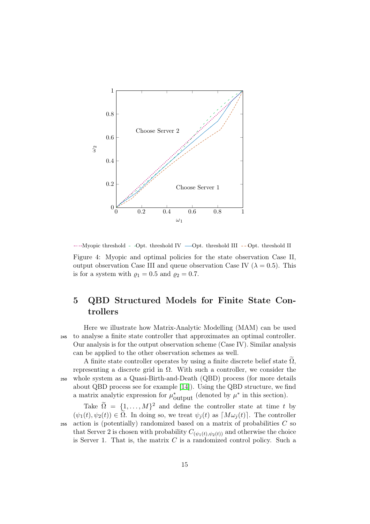<span id="page-14-1"></span>

 $...,$ Myopic threshold - -Opt. threshold IV  $\longrightarrow$ Opt. threshold III --Opt. threshold II Figure 4: Myopic and optimal policies for the state observation Case II, output observation Case III and queue observation Case IV ( $\lambda = 0.5$ ). This is for a system with  $\rho_1 = 0.5$  and  $\rho_2 = 0.7$ .

# <span id="page-14-0"></span>5 QBD Structured Models for Finite State Controllers

Here we illustrate how Matrix-Analytic Modelling (MAM) can be used <sup>245</sup> to analyse a finite state controller that approximates an optimal controller. Our analysis is for the output observation scheme (Case IV). Similar analysis can be applied to the other observation schemes as well.

A finite state controller operates by using a finite discrete belief state  $\Omega$ , representing a discrete grid in  $\Omega$ . With such a controller, we consider the <sup>250</sup> whole system as a Quasi-Birth-and-Death (QBD) process (for more details about QBD process see for example [\[14\]](#page-20-11)). Using the QBD structure, we find a matrix analytic expression for  $\mu_{\text{output}}^*$  (denoted by  $\mu^*$  in this section).

Take  $\widetilde{\Omega} = \{1, ..., M\}^2$  and define the controller state at time t by  $(\psi_1(t), \psi_2(t)) \in \Omega$ . In doing so, we treat  $\psi_i(t)$  as  $[M\omega_i(t)]$ . The controller  $255$  action is (potentially) randomized based on a matrix of probabilities  $C$  so that Server 2 is chosen with probability  $C_{(\psi_1(t), \psi_2(t))}$  and otherwise the choice is Server 1. That is, the matrix  $C$  is a randomized control policy. Such a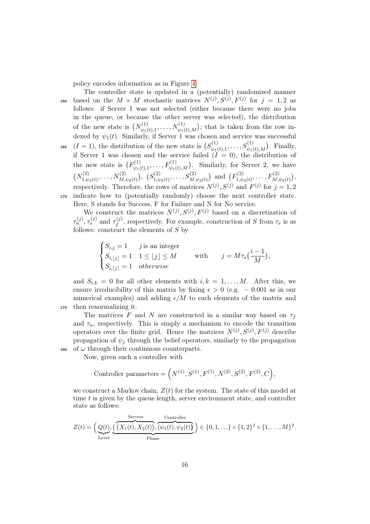policy encodes information as in Figure [4.](#page-14-1)

The controller state is updated in a (potentially) randomized manner 260 based on the  $M \times M$  stochastic matrices  $N^{(j)}$ ,  $S^{(j)}$ ,  $F^{(j)}$  for  $j = 1, 2$  as follows: if Server 1 was not selected (either because there were no jobs in the queue, or because the other server was selected), the distribution of the new state is  $(N_{\psi_1}^{(1)})$  $w_{\psi_1(t),1}^{(1)}, \ldots, N_{\psi_1(t),M}^{(1)}$ ; that is taken from the row indexed by  $\psi_1(t)$ . Similarly, if Server 1 was chosen and service was successful  $(I = 1)$ , the distribution of the new state is  $(S_{\psi_{1}}^{(1)})$ <sup>265</sup>  $(I = 1)$ , the distribution of the new state is  $(S_{\psi_1(t),1}^{(1)}, \ldots, S_{\psi_1(t),M}^{(1)})$ . Finally, if Server 1 was chosen and the service failed  $(I = 0)$ , the distribution of the new state is  $(F_{\psi_1}^{(1)})$  $w_{\psi_1(t),1}^{(1)}, \ldots, F_{\psi_1(t),M}^{(1)}$ . Similarly, for Server 2, we have  $(N_{1, y}^{(2)})$  $\mathcal{N}_{1,\psi_2(t)}^{(2)},\ldots,\mathcal{N}_{M,\psi_2(t)}^{(2)}\big),\ \ \mathcal{S}_{1,\psi_2(t)}^{(2)}$  $f_{1,\psi_2(t)}^{(2)},\ldots,f_{M,\psi_2(t)}^{(2)}$  and  $(F_{1,\psi_2(t)}^{(2)})$  $F^{(2)}_{1,\psi_2(t)},\ldots, F^{(2)}_{M,\psi_2(t)}\big),$ respectively. Therefore, the rows of matrices  $N^{(j)}$ ,  $S^{(j)}$  and  $F^{(j)}$  for  $j = 1, 2$ <sup>270</sup> indicate how to (potentially randomly) choose the next controller state. Here, S stands for Success, F for Failure and N for No service.

We construct the matrices  $N^{(j)}, S^{(j)}, F^{(j)}$  based on a discretization of  $\tau_n^{(j)}, \tau_s^{(j)}$  and  $\tau_f^{(j)}$  $f_f^{(J)}$ , respectively. For example, construction of S from  $\tau_s$  is as follows: construct the elements of  $S$  by

$$
\begin{cases}\nS_{i,j} = 1 & j \text{ is an integer} \\
S_{i,|j|} = 1 & 1 \le |j| \le M \\
S_{i,|j|} = 1 & otherwise\n\end{cases} \quad \text{with} \quad j = M\tau_s\left(\frac{i-1}{M}\right),
$$

and  $S_{i,k} = 0$  for all other elements with  $i, k = 1, ..., M$ . After this, we ensure irreducibility of this matrix by fixing  $\epsilon > 0$  (e.g. = 0.001 as in our numerical examples) and adding  $\epsilon/M$  to each elements of the matrix and <sup>275</sup> then renormalizing it.

The matrices F and N are constructed in a similar way based on  $\tau_f$ and  $\tau_n$ , respectively. This is simply a mechanism to encode the transition operators over the finite grid. Hence the matrices  $N^{(j)}$ ,  $S^{(j)}$ ,  $F^{(j)}$  describe propagation of  $\psi_i$  through the belief operators, similarly to the propagation 280 of  $\omega$  through their continuous counterparts.

Now, given such a controller with

$$
\text{Controller parameters} = \left(N^{(1)}, S^{(1)}, F^{(1)}, N^{(2)}, S^{(2)}, F^{(2)}, C\right),
$$

we construct a Markov chain,  $Z(t)$  for the system. The state of this model at time t is given by the queue length, server environment state, and controller state as follows:

$$
Z(t) = \left(\underbrace{Q(t)}_{\text{Level}}, \underbrace{\left(\overbrace{(X_1(t), X_2(t))}, \overbrace{(v_1(t), v_2(t))}^{\text{Servers}}\right)}_{\text{Phase}}\right) \in \{0, 1, \ldots\} \times \{1, 2\}^2 \times \{1, \ldots, M\}^2.
$$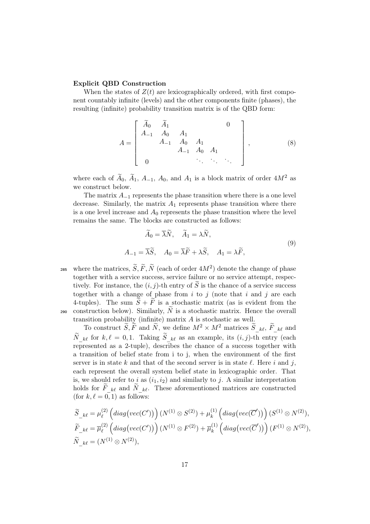#### Explicit QBD Construction

When the states of  $Z(t)$  are lexicographically ordered, with first component countably infinite (levels) and the other components finite (phases), the resulting (infinite) probability transition matrix is of the QBD form:

$$
A = \begin{bmatrix} \widetilde{A}_0 & \widetilde{A}_1 & & & 0 \\ A_{-1} & A_0 & A_1 & & \\ & A_{-1} & A_0 & A_1 & \\ & & A_{-1} & A_0 & A_1 & \\ & & & \ddots & \ddots & \ddots \end{bmatrix},
$$
 (8)

where each of  $A_0$ ,  $A_1$ ,  $A_{-1}$ ,  $A_0$ , and  $A_1$  is a block matrix of order  $4M^2$  as we construct below.

The matrix  $A_{-1}$  represents the phase transition where there is a one level decrease. Similarly, the matrix  $A_1$  represents phase transition where there is a one level increase and  $A_0$  represents the phase transition where the level remains the same. The blocks are constructed as follows:

<span id="page-16-0"></span>
$$
\widetilde{A}_0 = \overline{\lambda}\widetilde{N}, \quad \widetilde{A}_1 = \lambda \widetilde{N},
$$
  

$$
A_{-1} = \overline{\lambda}\widetilde{S}, \quad A_0 = \overline{\lambda}\widetilde{F} + \lambda\widetilde{S}, \quad A_1 = \lambda\widetilde{F},
$$
  
(9)

285 where the matrices,  $\widetilde{S}, \widetilde{F}, \widetilde{N}$  (each of order  $4M^2$ ) denote the change of phase together with a service success, service failure or no service attempt, respectively. For instance, the  $(i, j)$ -th entry of S is the chance of a service success together with a change of phase from  $i$  to  $j$  (note that  $i$  and  $j$  are each 4-tuples). The sum  $\widetilde{S} + \widetilde{F}$  is a stochastic matrix (as is evident from the 290 construction below). Similarly,  $\widetilde{N}$  is a stochastic matrix. Hence the overall transition probability (infinite) matrix A is stochastic as well.

To construct  $\widetilde{S}, \widetilde{F}$  and  $\widetilde{N}$ , we define  $M^2 \times M^2$  matrices  $\widetilde{S}_{k\ell}, \widetilde{F}_{k\ell}$  and  $\widetilde{N}_{k\ell}$  for  $k, \ell = 0, 1$ . Taking  $\widetilde{S}_{k\ell}$  as an example, its  $(i, j)$ -th entry (each represented as a 2-tuple), describes the chance of a success together with a transition of belief state from i to j, when the environment of the first server is in state k and that of the second server is in state  $\ell$ . Here i and j, each represent the overall system belief state in lexicographic order. That is, we should refer to i as  $(i_1, i_2)$  and similarly to j. A similar interpretation holds for  $\tilde{F}_{k\ell}$  and  $\tilde{N}_{k\ell}$ . These aforementioned matrices are constructed (for  $k, \ell = 0, 1$ ) as follows:

$$
\begin{aligned}\n\widetilde{S}_{-k\ell} &= \mu_{\ell}^{(2)} \left( diag\left( vec(C') \right) \right) (N^{(1)} \otimes S^{(2)}) + \mu_{k}^{(1)} \left( diag\left( vec(\overline{C}') \right) \right) (S^{(1)} \otimes N^{(2)}), \\
\widetilde{F}_{-k\ell} &= \overline{\mu}_{\ell}^{(2)} \left( diag\left( vec(C') \right) \right) (N^{(1)} \otimes F^{(2)}) + \overline{\mu}_{k}^{(1)} \left( diag\left( vec(\overline{C}') \right) \right) (F^{(1)} \otimes N^{(2)}), \\
\widetilde{N}_{-k\ell} &= (N^{(1)} \otimes N^{(2)}),\n\end{aligned}
$$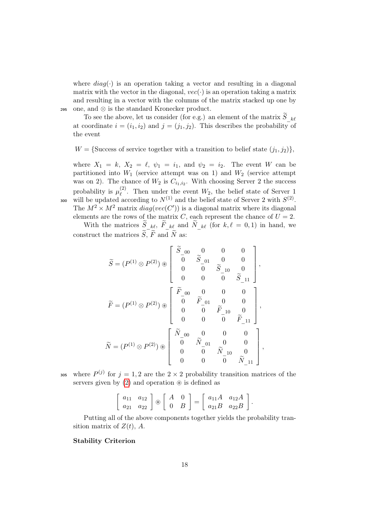where  $diag(\cdot)$  is an operation taking a vector and resulting in a diagonal matrix with the vector in the diagonal,  $vec(\cdot)$  is an operation taking a matrix and resulting in a vector with the columns of the matrix stacked up one by <sup>295</sup> one, and ⊗ is the standard Kronecker product.

To see the above, let us consider (for e.g.) an element of the matrix  $\widetilde S_{-k\ell}$ at coordinate  $i = (i_1, i_2)$  and  $j = (j_1, j_2)$ . This describes the probability of the event

 $W = \{\text{Success of service together with a transition to belief state } (j_1, j_2)\},\$ 

where  $X_1 = k$ ,  $X_2 = \ell$ ,  $\psi_1 = i_1$ , and  $\psi_2 = i_2$ . The event W can be partitioned into  $W_1$  (service attempt was on 1) and  $W_2$  (service attempt was on 2). The chance of  $W_2$  is  $C_{i_1,i_2}$ . With choosing Server 2 the success probability is  $\mu_{\ell}^{(2)}$ <sup>(2)</sup>. Then under the event  $W_2$ , the belief state of Server 1 300 will be updated according to  $N^{(1)}$  and the belief state of Server 2 with  $S^{(2)}$ . The  $M^2 \times M^2$  matrix  $diag(vec(C'))$  is a diagonal matrix where its diagonal elements are the rows of the matrix C, each represent the chance of  $U = 2$ .

With the matrices  $\widetilde{S}_{k\ell}, \widetilde{F}_{k\ell}$  and  $\widetilde{N}_{k\ell}$  (for  $k, \ell = 0, 1$ ) in hand, we construct the matrices  $\widetilde{S}_1 \widetilde{F}$  and  $\widetilde{N}$  as:

$$
\widetilde{S} = (P^{(1)} \otimes P^{(2)}) \circledast \left[ \begin{array}{cccc} \widetilde{S}_{-00} & 0 & 0 & 0 \\ \overline{0} & \widetilde{S}_{-01} & 0 & 0 \\ 0 & 0 & \widetilde{S}_{-10} & 0 \\ 0 & 0 & 0 & \widetilde{S}_{-11} \end{array} \right],
$$
\n
$$
\widetilde{F} = (P^{(1)} \otimes P^{(2)}) \circledast \left[ \begin{array}{cccc} \widetilde{F}_{-00} & 0 & 0 & 0 \\ \overline{0} & \widetilde{F}_{-01} & 0 & 0 \\ 0 & 0 & \widetilde{F}_{-10} & 0 \\ 0 & 0 & 0 & \widetilde{F}_{-11} \end{array} \right],
$$
\n
$$
\widetilde{N} = (P^{(1)} \otimes P^{(2)}) \circledast \left[ \begin{array}{cccc} \widetilde{N}_{-00} & 0 & 0 & 0 \\ 0 & \widetilde{N}_{-01} & 0 & 0 \\ 0 & 0 & \widetilde{N}_{-10} & 0 \\ 0 & 0 & 0 & \widetilde{N}_{-11} \end{array} \right],
$$

305 where  $P^{(j)}$  for  $j = 1, 2$  are the  $2 \times 2$  probability transition matrices of the servers given by  $(2)$  and operation  $\circledast$  is defined as

$$
\left[\begin{array}{cc} a_{11} & a_{12} \\ a_{21} & a_{22} \end{array}\right] \circledast \left[\begin{array}{cc} A & 0 \\ 0 & B \end{array}\right] = \left[\begin{array}{cc} a_{11}A & a_{12}A \\ a_{21}B & a_{22}B \end{array}\right].
$$

Putting all of the above components together yields the probability transition matrix of  $Z(t)$ , A.

#### Stability Criterion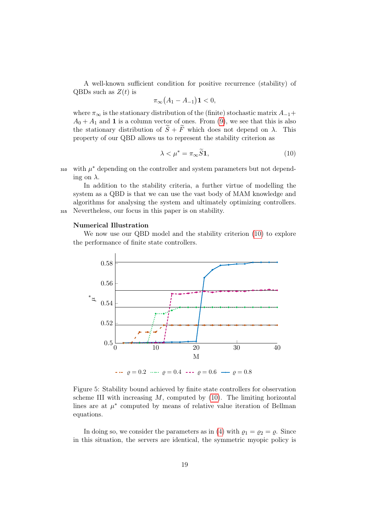A well-known sufficient condition for positive recurrence (stability) of QBDs such as  $Z(t)$  is

$$
\pi_{\infty}(A_1 - A_{-1})\mathbf{1} < 0,
$$

where  $\pi_{\infty}$  is the stationary distribution of the (finite) stochastic matrix  $A_{-1}$ +  $A_0 + A_1$  and 1 is a column vector of ones. From [\(9\)](#page-16-0), we see that this is also the stationary distribution of  $\tilde{S} + \tilde{F}$  which does not depend on  $\lambda$ . This property of our QBD allows us to represent the stability criterion as

<span id="page-18-0"></span>
$$
\lambda < \mu^* = \pi_\infty \widetilde{S} \mathbf{1},\tag{10}
$$

310 with  $\mu^*$  depending on the controller and system parameters but not depending on  $\lambda$ .

In addition to the stability criteria, a further virtue of modelling the system as a QBD is that we can use the vast body of MAM knowledge and algorithms for analysing the system and ultimately optimizing controllers. <sup>315</sup> Nevertheless, our focus in this paper is on stability.

#### Numerical Illustration

We now use our QBD model and the stability criterion [\(10\)](#page-18-0) to explore the performance of finite state controllers.

<span id="page-18-1"></span>

Figure 5: Stability bound achieved by finite state controllers for observation scheme III with increasing  $M$ , computed by  $(10)$ . The limiting horizontal lines are at  $\mu^*$  computed by means of relative value iteration of Bellman equations.

In doing so, we consider the parameters as in [\(4\)](#page-7-2) with  $\varrho_1 = \varrho_2 = \varrho$ . Since in this situation, the servers are identical, the symmetric myopic policy is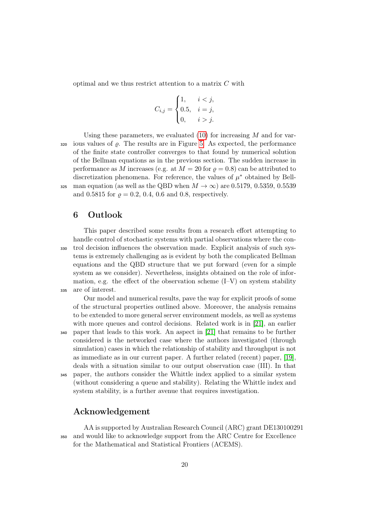optimal and we thus restrict attention to a matrix C with

$$
C_{i,j} = \begin{cases} 1, & i < j, \\ 0.5, & i = j, \\ 0, & i > j. \end{cases}
$$

Using these parameters, we evaluated  $(10)$  for increasing M and for var- $320$  ious values of  $\rho$ . The results are in Figure [5.](#page-18-1) As expected, the performance of the finite state controller converges to that found by numerical solution of the Bellman equations as in the previous section. The sudden increase in performance as M increases (e.g. at  $M = 20$  for  $\rho = 0.8$ ) can be attributed to discretization phenomena. For reference, the values of  $\mu^*$  obtained by Bell-325 man equation (as well as the QBD when  $M \to \infty$ ) are 0.5179, 0.5359, 0.5539 and 0.5815 for  $\rho = 0.2, 0.4, 0.6$  and 0.8, respectively.

# <span id="page-19-0"></span>6 Outlook

This paper described some results from a research effort attempting to handle control of stochastic systems with partial observations where the con-<sup>330</sup> trol decision influences the observation made. Explicit analysis of such systems is extremely challenging as is evident by both the complicated Bellman equations and the QBD structure that we put forward (even for a simple system as we consider). Nevertheless, insights obtained on the role of information, e.g. the effect of the observation scheme  $(I-V)$  on system stability <sup>335</sup> are of interest.

Our model and numerical results, pave the way for explicit proofs of some of the structural properties outlined above. Moreover, the analysis remains to be extended to more general server environment models, as well as systems with more queues and control decisions. Related work is in [\[21\]](#page-21-6), an earlier <sup>340</sup> paper that leads to this work. An aspect in [\[21\]](#page-21-6) that remains to be further considered is the networked case where the authors investigated (through simulation) cases in which the relationship of stability and throughput is not as immediate as in our current paper. A further related (recent) paper, [\[19\]](#page-21-7), deals with a situation similar to our output observation case (III). In that <sup>345</sup> paper, the authors consider the Whittle index applied to a similar system

(without considering a queue and stability). Relating the Whittle index and system stability, is a further avenue that requires investigation.

# Acknowledgement

AA is supported by Australian Research Council (ARC) grant DE130100291 <sup>350</sup> and would like to acknowledge support from the ARC Centre for Excellence for the Mathematical and Statistical Frontiers (ACEMS).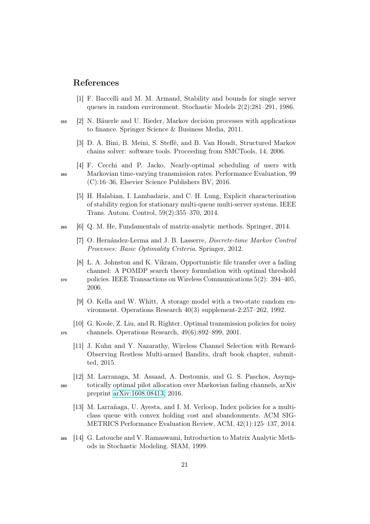# References

- <span id="page-20-3"></span>[1] F. Baccelli and M. M. Armand, Stability and bounds for single server queues in random environment. Stochastic Models 2(2):281–291, 1986.
- <span id="page-20-9"></span><sup>355</sup> [2] N. Bäuerle and U. Rieder, Markov decision processes with applications to finance. Springer Science & Business Media, 2011.
	- [3] D. A. Bini, B. Meini, S. Steffé, and B. Van Houdt, Structured Markov chains solver: software tools. Proceeding from SMCTools, 14, 2006.
- <span id="page-20-4"></span><span id="page-20-0"></span>[4] F. Cecchi and P. Jacko, Nearly-optimal scheduling of users with <sup>360</sup> Markovian time-varying transmission rates. Performance Evaluation, 99 (C):16–36, Elsevier Science Publishers BV, 2016.
	- [5] H. Halabian, I. Lambadaris, and C. H. Lung, Explicit characterization of stability region for stationary multi-queue multi-server systems. IEEE Trans. Autom. Control, 59(2):355–370, 2014.
- <span id="page-20-10"></span><sup>365</sup> [6] Q. M. He, Fundamentals of matrix-analytic methods. Springer, 2014.
	- [7] O. Hernández-Lerma and J. B. Lasserre, Discrete-time Markov Control Processes: Basic Optimality Criteria. Springer, 2012.
- <span id="page-20-1"></span>[8] L. A. Johnston and K. Vikram, Opportunistic file transfer over a fading channel: A POMDP search theory formulation with optimal threshold <sup>370</sup> policies. IEEE Transactions on Wireless Communications 5(2): 394–405, 2006.
	- [9] O. Kella and W. Whitt, A storage model with a two-state random environment. Operations Research 40(3) supplement-2:257–262, 1992.
- <span id="page-20-6"></span><span id="page-20-5"></span>[10] G. Koole, Z. Liu, and R. Righter. Optimal transmission policies for noisy <sup>375</sup> channels. Operations Research, 49(6):892–899, 2001.
	- [11] J. Kuhn and Y. Nazarathy, Wireless Channel Selection with Reward-Observing Restless Multi-armed Bandits, draft book chapter, submitted, 2015.
- <span id="page-20-8"></span>[12] M. Larranaga, M. Assaad, A. Destounis, and G. S. Paschos, Asymp-<sup>380</sup> totically optimal pilot allocation over Markovian fading channels, arXiv preprint [arXiv:1608.08413,](http://arxiv.org/abs/1608.08413) 2016.
	- [13] M. Larrañaga, U. Ayesta, and I. M. Verloop, Index policies for a multiclass queue with convex holding cost and abandonments. ACM SIG-METRICS Performance Evaluation Review, ACM, 42(1):125–137, 2014.
- <span id="page-20-11"></span><sup>385</sup> [14] G. Latouche and V. Ramaswami, Introduction to Matrix Analytic Methods in Stochastic Modeling. SIAM, 1999.

<span id="page-20-2"></span>

<span id="page-20-7"></span>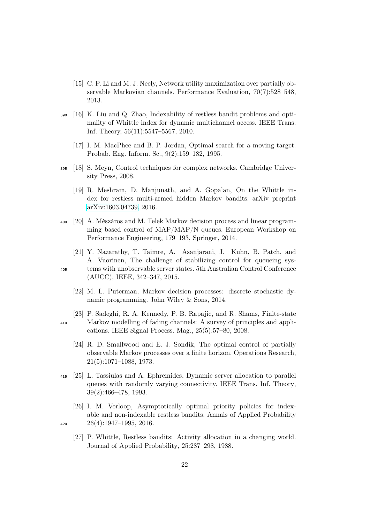- <span id="page-21-8"></span>[15] C. P. Li and M. J. Neely, Network utility maximization over partially observable Markovian channels. Performance Evaluation, 70(7):528–548, 2013.
- <span id="page-21-10"></span><span id="page-21-3"></span><sup>390</sup> [16] K. Liu and Q. Zhao, Indexability of restless bandit problems and optimality of Whittle index for dynamic multichannel access. IEEE Trans. Inf. Theory, 56(11):5547–5567, 2010.
	- [17] I. M. MacPhee and B. P. Jordan, Optimal search for a moving target. Probab. Eng. Inform. Sc., 9(2):159–182, 1995.
- <span id="page-21-7"></span><span id="page-21-1"></span><sup>395</sup> [18] S. Meyn, Control techniques for complex networks. Cambridge University Press, 2008.
	- [19] R. Meshram, D. Manjunath, and A. Gopalan, On the Whittle index for restless multi-armed hidden Markov bandits. arXiv preprint [arXiv:1603.04739,](http://arxiv.org/abs/1603.04739) 2016.
- <span id="page-21-9"></span><sup>400</sup> [20] A. Mészáros and M. Telek Markov decision process and linear programming based control of MAP/MAP/N queues. European Workshop on Performance Engineering, 179–193, Springer, 2014.
- <span id="page-21-6"></span>[21] Y. Nazarathy, T. Taimre, A. Asanjarani, J. Kuhn, B. Patch, and A. Vuorinen, The challenge of stabilizing control for queueing sys-<sup>405</sup> tems with unobservable server states. 5th Australian Control Conference (AUCC), IEEE, 342–347, 2015.
	- [22] M. L. Puterman, Markov decision processes: discrete stochastic dynamic programming. John Wiley & Sons, 2014.
- <span id="page-21-12"></span><span id="page-21-11"></span><span id="page-21-0"></span>[23] P. Sadeghi, R. A. Kennedy, P. B. Rapajic, and R. Shams, Finite-state <sup>410</sup> Markov modelling of fading channels: A survey of principles and applications. IEEE Signal Process. Mag., 25(5):57–80, 2008.
	- [24] R. D. Smallwood and E. J. Sondik, The optimal control of partially observable Markov processes over a finite horizon. Operations Research, 21(5):1071–1088, 1973.
- <span id="page-21-2"></span><sup>415</sup> [25] L. Tassiulas and A. Ephremides, Dynamic server allocation to parallel queues with randomly varying connectivity. IEEE Trans. Inf. Theory, 39(2):466–478, 1993.
- <span id="page-21-5"></span>[26] I. M. Verloop, Asymptotically optimal priority policies for indexable and non-indexable restless bandits. Annals of Applied Probability 420  $26(4):1947-1995, 2016.$

<span id="page-21-4"></span>[27] P. Whittle, Restless bandits: Activity allocation in a changing world. Journal of Applied Probability, 25:287–298, 1988.